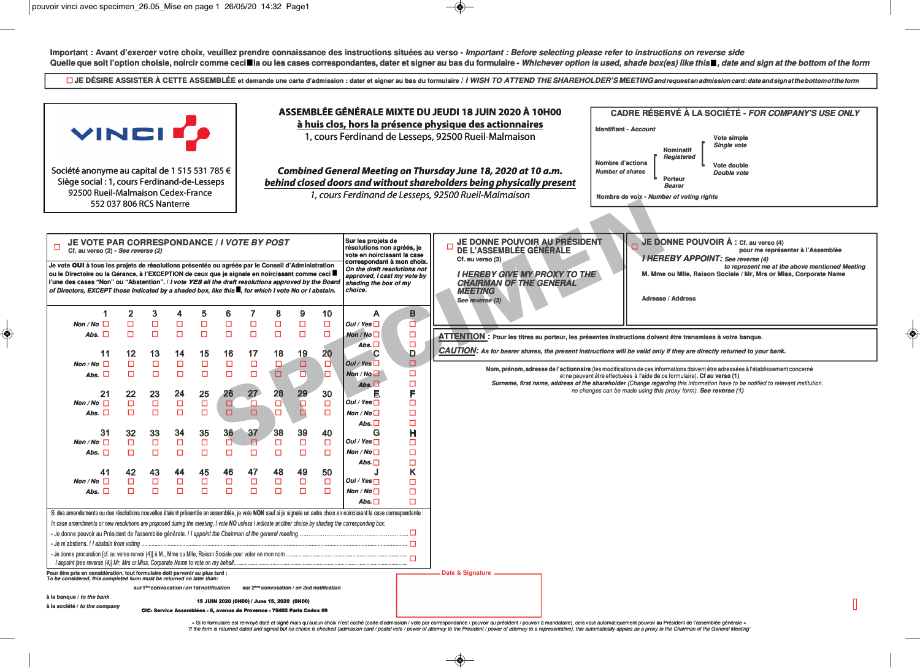◈

Important: Avant d'exercer votre choix, veuillez prendre connaissance des instructions situées au verso - Important: Before selecting please refer to instructions on reverse side

◈

|                                                                                                                                                                                                                                                                                                                                                                                                                                                                                                                         |                             |                                            |                                            |                                            |                                            |                                        |                                       |                                       |                                       |                                                                                                                                                                                                                       |                                                   | Quelle que soit l'option choisie, noircir comme ceci■la ou les cases correspondantes, dater et signer au bas du formulaire - Whichever option is used, shade box(es) like this■, date and sign at the bottom of the form                                                                                                                                                                                                                                                                                                                                                                                                                                                                       |
|-------------------------------------------------------------------------------------------------------------------------------------------------------------------------------------------------------------------------------------------------------------------------------------------------------------------------------------------------------------------------------------------------------------------------------------------------------------------------------------------------------------------------|-----------------------------|--------------------------------------------|--------------------------------------------|--------------------------------------------|--------------------------------------------|----------------------------------------|---------------------------------------|---------------------------------------|---------------------------------------|-----------------------------------------------------------------------------------------------------------------------------------------------------------------------------------------------------------------------|---------------------------------------------------|------------------------------------------------------------------------------------------------------------------------------------------------------------------------------------------------------------------------------------------------------------------------------------------------------------------------------------------------------------------------------------------------------------------------------------------------------------------------------------------------------------------------------------------------------------------------------------------------------------------------------------------------------------------------------------------------|
|                                                                                                                                                                                                                                                                                                                                                                                                                                                                                                                         |                             |                                            |                                            |                                            |                                            |                                        |                                       |                                       |                                       |                                                                                                                                                                                                                       |                                                   | □ JE DÉSIRE ASSISTER À CETTE ASSEMBLÉE et demande une carte d'admission : dater et signer au bas du formulaire / I WISH TO ATTEND THE SHAREHOLDER'S MEETING and request an admission card: date and signat the bottom of the                                                                                                                                                                                                                                                                                                                                                                                                                                                                   |
| <b>VINCITS</b><br>Société anonyme au capital de 1 515 531 785 €<br>Siège social : 1, cours Ferdinand-de-Lesseps<br>92500 Rueil-Malmaison Cedex-France<br>552 037 806 RCS Nanterre                                                                                                                                                                                                                                                                                                                                       |                             |                                            |                                            |                                            |                                            |                                        |                                       |                                       |                                       |                                                                                                                                                                                                                       |                                                   | ASSEMBLÉE GÉNÉRALE MIXTE DU JEUDI 18 JUIN 2020 À 10H00<br><b>CADRE RÉSERVÉ À LA SOCIÉTÉ - FOR COMPANY'S USE ONLY</b><br>à huis clos, hors la présence physique des actionnaires<br>Identifiant - Account<br>1, cours Ferdinand de Lesseps, 92500 Rueil-Malmaison<br>Vote simple<br>Single vote<br><b>Nominatif</b><br>Registered<br><b>Nombre d'actions</b><br>Vote double<br>Combined General Meeting on Thursday June 18, 2020 at 10 a.m.<br><b>Number of shares</b><br>Double vote<br>Porteur<br>behind closed doors and without shareholders being physically present<br><b>Bearer</b><br>1, cours Ferdinand de Lesseps, 92500 Rueil-Malmaison<br>Nombre de voix - Number of voting rights |
| JE VOTE PAR CORRESPONDANCE / I VOTE BY POST<br>Cf. au verso (2) - See reverse (2)<br>Je vote OUI à tous les projets de résolutions présentés ou agréés par le Conseil d'Administration<br>ou le Directoire ou la Gérance, à l'EXCEPTION de ceux que je signale en noircissant comme ceci ■<br>l'une des cases "Non" ou "Abstention". / I vote YES all the draft resolutions approved by the Board<br>of Directors, EXCEPT those indicated by a shaded box, like this $\blacksquare$ , for which I vote No or I abstain. | $\overline{\mathbf{2}}$     | 3                                          |                                            | 5                                          | 6                                          |                                        | 8                                     | 9                                     | 10                                    | Sur les projets de<br>résolutions non agréés, je<br>vote en noircissant la case<br>correspondant à mon choix.<br>On the draft resolutions not<br>approved, I cast my vote by<br>shading the box of my<br>choice.<br>A | B                                                 | JE DONNE POUVOIR À : Cf. au verso (4)<br>JE DONNE POUVOIR AU PRÉSIDENT<br>DE L'ASSEMBLÉE GÉNÉRALE<br>pour me représenter à l'Assemblée<br><b>I HEREBY APPOINT:</b> See reverse (4)<br>Cf. au verso (3)<br>to represent me at the above mentioned Meeting<br>M. Mme ou Mile, Raison Sociale / Mr, Mrs or Miss, Corporate Name<br><b>I HEREBY GIVE MY PROXY TO THE</b><br><b>CHAIRMAN OF THE GENERAL</b><br><b>MEETING</b><br><b>Adresse / Address</b><br>See reverse (3)                                                                                                                                                                                                                        |
| Non / No $\Box$                                                                                                                                                                                                                                                                                                                                                                                                                                                                                                         | $\Box$                      | $\Box$<br>$\Box$                           | □<br>$\Box$                                | $\Box$                                     | $\Box$                                     | $\Box$                                 | $\Box$                                | $\Box$<br>$\Box$                      | $\Box$<br>$\Box$                      | Oui / Yes $\Box$                                                                                                                                                                                                      | à                                                 |                                                                                                                                                                                                                                                                                                                                                                                                                                                                                                                                                                                                                                                                                                |
| Abs. $\Box$                                                                                                                                                                                                                                                                                                                                                                                                                                                                                                             | о                           |                                            |                                            | $\Box$                                     | $\Box$                                     | $\Box$                                 | $\Box$                                |                                       |                                       | Non / No $\square$<br>Abs. $\square$                                                                                                                                                                                  | $\begin{array}{c} \square \\ \square \end{array}$ | ATTENTION : Pour les titres au porteur, les présentes instructions doivent être transmises à votre banque.                                                                                                                                                                                                                                                                                                                                                                                                                                                                                                                                                                                     |
| 11                                                                                                                                                                                                                                                                                                                                                                                                                                                                                                                      | 12                          | 13                                         | 14                                         | 15                                         | 16                                         | 17                                     | 18                                    | 19                                    | 20                                    | C                                                                                                                                                                                                                     | Đ.<br>▫                                           | CAUTION: As for bearer shares, the present instructions will be valid only if they are directly returned to your bank.                                                                                                                                                                                                                                                                                                                                                                                                                                                                                                                                                                         |
| Non / No $\Box$<br>Abs. $\Box$<br>21<br>Non / No $\square$<br>Abs. $\square$                                                                                                                                                                                                                                                                                                                                                                                                                                            | □<br>о<br>22<br>$\Box$<br>о | $\Box$<br>$\Box$<br>23<br>$\Box$<br>$\Box$ | $\Box$<br>$\Box$<br>24<br>$\Box$<br>$\Box$ | $\Box$<br>$\Box$<br>25<br>$\Box$<br>$\Box$ | $\Box$<br>$\Box$<br>26<br>$\Box$<br>$\Box$ | $\Box$<br>$\Box$<br>27<br>α.<br>$\Box$ | $\Box$<br>$\Box$<br>28<br>D<br>$\Box$ | $\Box$<br>$\Box$<br>29<br>$\Box$<br>Ò | □<br>$\Box$<br>30<br>$\Box$<br>$\Box$ | Out / Yes<br>Non/No<br>Abs. $\Box$<br>Е<br>Oui / Yes $\Box$<br>Non / No $\square$                                                                                                                                     | □<br>$\Box$<br>F<br>$\Box$<br>$\Box$              | Nom, prénom, adresse de l'actionnaire (les modifications de ces informations doivent être adressées à l'établissement concerné<br>et ne peuvent être effectuées à l'aide de ce formulaire). Cf au verso (1)<br>Surname, first name, address of the shareholder (Change regarding this information have to be notified to relevant institution,<br>no changes can be made using this proxy form). See reverse (1)                                                                                                                                                                                                                                                                               |
| 31                                                                                                                                                                                                                                                                                                                                                                                                                                                                                                                      | 32                          | 33                                         | 34                                         | 35                                         | 36 <sup>°</sup>                            | 37                                     | 38                                    | 39                                    | 40                                    | Abs. $\square$<br>G                                                                                                                                                                                                   | $\Box$<br>H                                       |                                                                                                                                                                                                                                                                                                                                                                                                                                                                                                                                                                                                                                                                                                |
| Non / No $\Box$                                                                                                                                                                                                                                                                                                                                                                                                                                                                                                         | $\Box$                      | $\Box$                                     | $\Box$                                     | $\Box$                                     | $\Box$                                     | □                                      | $\Box$                                | $\Box$                                | $\Box$                                | Oui / Yes $\Box$                                                                                                                                                                                                      | $\Box$                                            |                                                                                                                                                                                                                                                                                                                                                                                                                                                                                                                                                                                                                                                                                                |
| Abs. $\square$                                                                                                                                                                                                                                                                                                                                                                                                                                                                                                          | $\Box$                      | $\Box$                                     | $\Box$                                     | $\Box$                                     | $\Box$                                     | $\Box$                                 | $\Box$                                | $\Box$                                | $\Box$                                | Non / No $\square$<br>Abs. $\square$                                                                                                                                                                                  | $\Box$<br>$\Box$                                  |                                                                                                                                                                                                                                                                                                                                                                                                                                                                                                                                                                                                                                                                                                |
| 41<br>Non / No $\Box$<br>Abs. $\Box$                                                                                                                                                                                                                                                                                                                                                                                                                                                                                    | 42<br>$\Box$<br>О           | 43<br>$\Box$<br>$\Box$                     | 44<br>$\Box$<br>$\Box$                     | 45<br>$\Box$<br>$\Box$                     | 46<br>$\Box$<br>$\Box$                     | 47<br>$\Box$<br>$\Box$                 | 48<br>$\Box$<br>$\Box$                | 49<br>$\Box$<br>$\Box$                | 50<br>$\Box$<br>$\Box$                | Oui / Yes $\Box$<br>Non / No $\square$<br>Abs. $\square$                                                                                                                                                              | K<br>$\Box$<br>$\Box$<br>$\Box$                   |                                                                                                                                                                                                                                                                                                                                                                                                                                                                                                                                                                                                                                                                                                |
| Si des amendements ou des résolutions nouvelles étaient présentés en assemblée, je vote NON sauf si je signale un autre choix en noircissant la case correspondante :<br>In case amendments or new resolutions are proposed during the meeting, I vote NO unless I indicate another choice by shading the corresponding box:                                                                                                                                                                                            |                             |                                            |                                            |                                            |                                            |                                        |                                       |                                       |                                       |                                                                                                                                                                                                                       |                                                   |                                                                                                                                                                                                                                                                                                                                                                                                                                                                                                                                                                                                                                                                                                |
| - Je m'abstiens. / I abstain from voting<br>- Je donne procuration [cf. au verso renvoi (4)] à M., Mme ou Mlle, Raison Sociale pour voter en mon nom<br>I appoint [see reverse (4)] Mr, Mrs or Miss, Corporate Name to vote on my behalf                                                                                                                                                                                                                                                                                |                             |                                            |                                            |                                            |                                            |                                        |                                       |                                       |                                       |                                                                                                                                                                                                                       | □<br>$\Box$                                       |                                                                                                                                                                                                                                                                                                                                                                                                                                                                                                                                                                                                                                                                                                |
| Pour être pris en considération, tout formulaire doit parvenir au plus tard :<br>To be considered, this completed form must be returned no later than:                                                                                                                                                                                                                                                                                                                                                                  |                             |                                            |                                            |                                            |                                            |                                        |                                       |                                       |                                       |                                                                                                                                                                                                                       |                                                   | Date & Signature -                                                                                                                                                                                                                                                                                                                                                                                                                                                                                                                                                                                                                                                                             |
| sur 1ereconvocation/on 1st notification<br>sur 2ème convocation / on 2nd notification                                                                                                                                                                                                                                                                                                                                                                                                                                   |                             |                                            |                                            |                                            |                                            |                                        |                                       |                                       |                                       |                                                                                                                                                                                                                       |                                                   |                                                                                                                                                                                                                                                                                                                                                                                                                                                                                                                                                                                                                                                                                                |
| à la banque / to the bank<br>15 JUIN 2020 (0H00) / June 15, 2020 (0H00)<br>à la société / to the company                                                                                                                                                                                                                                                                                                                                                                                                                |                             |                                            |                                            |                                            |                                            |                                        |                                       |                                       |                                       |                                                                                                                                                                                                                       |                                                   |                                                                                                                                                                                                                                                                                                                                                                                                                                                                                                                                                                                                                                                                                                |
| CIC- Service Assemblées - 6, avenue de Provence - 75452 Paris Cedex 09                                                                                                                                                                                                                                                                                                                                                                                                                                                  |                             |                                            |                                            |                                            |                                            |                                        |                                       |                                       |                                       |                                                                                                                                                                                                                       |                                                   |                                                                                                                                                                                                                                                                                                                                                                                                                                                                                                                                                                                                                                                                                                |

« Si le formulaire est renvoyé daté et signé mais qu'aucun choix n'est coché (carte d'admission / vote par correspondance / pouvoir au président / pouvoir à mandataire), cela vaut automatiquement pouvoir au Président de l'

 $\color{red}\blacklozenge$